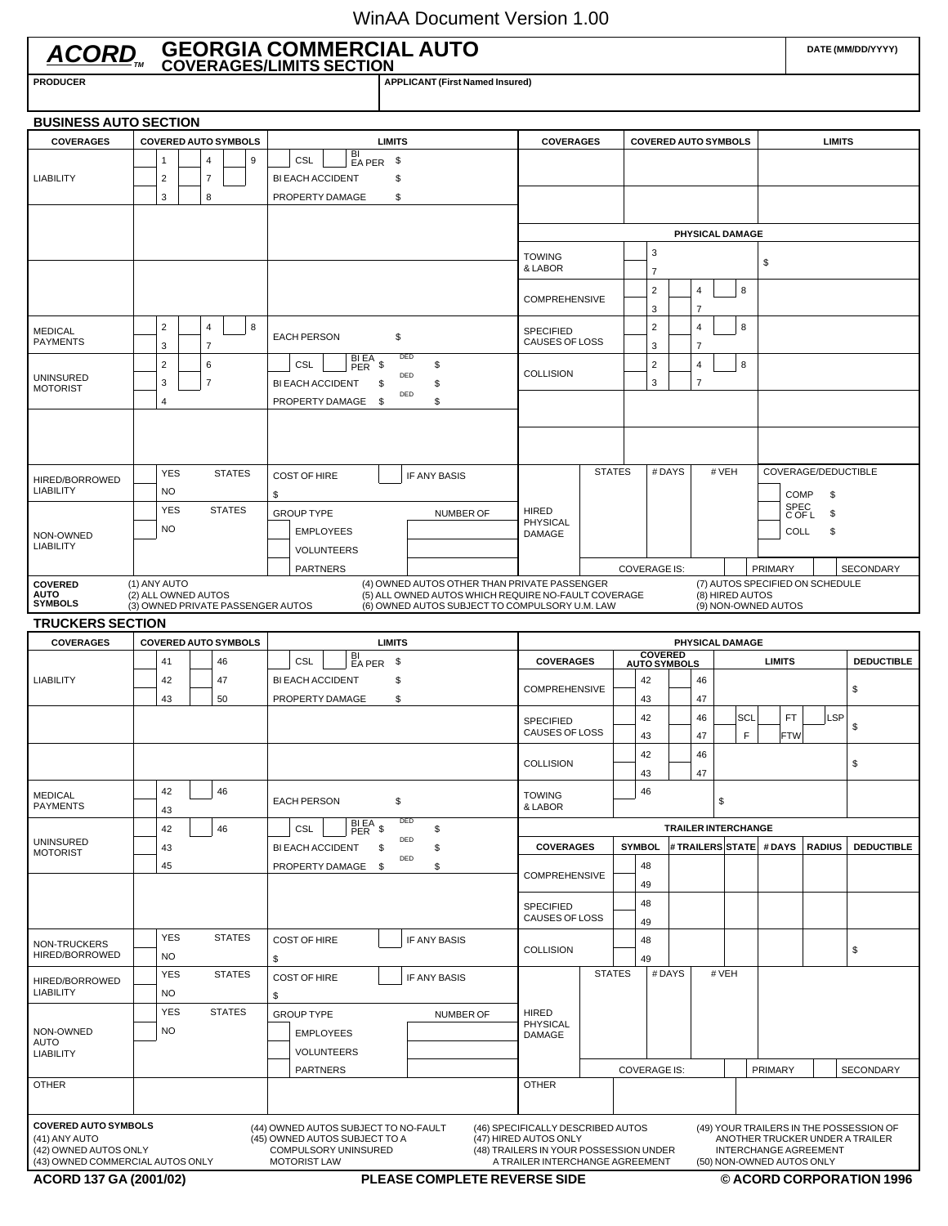## WinAA Document Version 1.00

| ACORD GEORGIA COMMERCIAL AUTO                                                                                                                                                                                                                                                                                                                                                                                                                                                                                    |                                                                                      |                                                                              |                |                                                        |                                                                                                                        |                                      |                      |                  |                                                                                                                                                       |                                    |    |                     |                                                                        |                             |                     |                 |                 |                                                        |                                                                                       |               | DATE (MM/DD/YYYY)        |  |
|------------------------------------------------------------------------------------------------------------------------------------------------------------------------------------------------------------------------------------------------------------------------------------------------------------------------------------------------------------------------------------------------------------------------------------------------------------------------------------------------------------------|--------------------------------------------------------------------------------------|------------------------------------------------------------------------------|----------------|--------------------------------------------------------|------------------------------------------------------------------------------------------------------------------------|--------------------------------------|----------------------|------------------|-------------------------------------------------------------------------------------------------------------------------------------------------------|------------------------------------|----|---------------------|------------------------------------------------------------------------|-----------------------------|---------------------|-----------------|-----------------|--------------------------------------------------------|---------------------------------------------------------------------------------------|---------------|--------------------------|--|
| <b>PRODUCER</b>                                                                                                                                                                                                                                                                                                                                                                                                                                                                                                  |                                                                                      |                                                                              |                |                                                        |                                                                                                                        |                                      |                      |                  | <b>APPLICANT (First Named Insured)</b>                                                                                                                |                                    |    |                     |                                                                        |                             |                     |                 |                 |                                                        |                                                                                       |               |                          |  |
| <b>BUSINESS AUTO SECTION</b>                                                                                                                                                                                                                                                                                                                                                                                                                                                                                     |                                                                                      |                                                                              |                |                                                        |                                                                                                                        |                                      |                      |                  |                                                                                                                                                       |                                    |    |                     |                                                                        |                             |                     |                 |                 |                                                        |                                                                                       |               |                          |  |
| <b>COVERAGES</b>                                                                                                                                                                                                                                                                                                                                                                                                                                                                                                 |                                                                                      |                                                                              |                | <b>COVERED AUTO SYMBOLS</b>                            |                                                                                                                        |                                      |                      | <b>LIMITS</b>    |                                                                                                                                                       | <b>COVERAGES</b>                   |    |                     |                                                                        | <b>COVERED AUTO SYMBOLS</b> |                     |                 |                 |                                                        |                                                                                       | <b>LIMITS</b> |                          |  |
| <b>LIABILITY</b>                                                                                                                                                                                                                                                                                                                                                                                                                                                                                                 |                                                                                      | 1<br>2                                                                       | $\overline{7}$ | 4<br>9                                                 |                                                                                                                        | CSL<br><b>BI EACH ACCIDENT</b>       | BI<br>EA PER \$      | \$               |                                                                                                                                                       |                                    |    |                     |                                                                        |                             |                     |                 |                 |                                                        |                                                                                       |               |                          |  |
|                                                                                                                                                                                                                                                                                                                                                                                                                                                                                                                  |                                                                                      | 3                                                                            | 8              |                                                        |                                                                                                                        | PROPERTY DAMAGE                      |                      | \$               |                                                                                                                                                       |                                    |    |                     |                                                                        |                             |                     |                 |                 |                                                        |                                                                                       |               |                          |  |
|                                                                                                                                                                                                                                                                                                                                                                                                                                                                                                                  |                                                                                      |                                                                              |                |                                                        |                                                                                                                        |                                      |                      |                  |                                                                                                                                                       |                                    |    |                     |                                                                        |                             |                     | PHYSICAL DAMAGE |                 |                                                        |                                                                                       |               |                          |  |
|                                                                                                                                                                                                                                                                                                                                                                                                                                                                                                                  |                                                                                      |                                                                              |                |                                                        |                                                                                                                        |                                      |                      |                  |                                                                                                                                                       | <b>TOWING</b><br>& LABOR           |    |                     | 3<br>$\overline{7}$                                                    |                             |                     |                 |                 | \$                                                     |                                                                                       |               |                          |  |
|                                                                                                                                                                                                                                                                                                                                                                                                                                                                                                                  |                                                                                      |                                                                              |                |                                                        |                                                                                                                        |                                      |                      |                  |                                                                                                                                                       | <b>COMPREHENSIVE</b>               |    |                     | $\overline{\mathbf{c}}$<br>3                                           |                             | 4<br>7              |                 | 8               |                                                        |                                                                                       |               |                          |  |
| <b>MEDICAL</b><br><b>PAYMENTS</b>                                                                                                                                                                                                                                                                                                                                                                                                                                                                                |                                                                                      | $\overline{\mathbf{c}}$<br>3                                                 | $\overline{7}$ | 8<br>4                                                 |                                                                                                                        | <b>EACH PERSON</b>                   |                      | \$               | DED                                                                                                                                                   | <b>SPECIFIED</b><br>CAUSES OF LOSS |    |                     | $\overline{c}$<br>3                                                    |                             | 4<br>$\overline{7}$ |                 | 8               |                                                        |                                                                                       |               |                          |  |
| <b>UNINSURED</b><br><b>MOTORIST</b>                                                                                                                                                                                                                                                                                                                                                                                                                                                                              |                                                                                      | $\overline{2}$<br>6<br>CSL<br>$\overline{7}$<br>3<br><b>BI EACH ACCIDENT</b> |                |                                                        |                                                                                                                        | $BIER$ \$                            | \$                   | \$<br>DED<br>\$  | <b>COLLISION</b>                                                                                                                                      |                                    |    |                     |                                                                        | 4<br>$\overline{7}$         | 8                   |                 |                 |                                                        |                                                                                       |               |                          |  |
|                                                                                                                                                                                                                                                                                                                                                                                                                                                                                                                  |                                                                                      | $\overline{4}$                                                               |                |                                                        |                                                                                                                        | PROPERTY DAMAGE                      |                      | \$               | DED<br>\$                                                                                                                                             |                                    |    |                     |                                                                        |                             |                     |                 |                 |                                                        |                                                                                       |               |                          |  |
|                                                                                                                                                                                                                                                                                                                                                                                                                                                                                                                  |                                                                                      |                                                                              |                |                                                        |                                                                                                                        |                                      |                      |                  |                                                                                                                                                       |                                    |    |                     |                                                                        |                             |                     |                 |                 |                                                        |                                                                                       |               |                          |  |
| HIRED/BORROWED<br><b>LIABILITY</b>                                                                                                                                                                                                                                                                                                                                                                                                                                                                               | <b>STATES</b><br><b>YES</b><br><b>NO</b><br><b>YES</b><br><b>STATES</b><br><b>NO</b> |                                                                              |                |                                                        | <b>COST OF HIRE</b><br>IF ANY BASIS<br>\$                                                                              |                                      |                      |                  |                                                                                                                                                       |                                    |    | <b>STATES</b>       | #DAYS                                                                  |                             |                     | # VEH           |                 |                                                        | COVERAGE/DEDUCTIBLE<br><b>COMP</b><br>\$<br><b>SPEC</b><br>\$<br>C OF L<br>\$<br>COLL |               |                          |  |
| NON-OWNED                                                                                                                                                                                                                                                                                                                                                                                                                                                                                                        |                                                                                      |                                                                              |                |                                                        | <b>GROUP TYPE</b><br><b>NUMBER OF</b><br><b>EMPLOYEES</b>                                                              |                                      |                      |                  | <b>HIRED</b><br><b>PHYSICAL</b><br>DAMAGE                                                                                                             |                                    |    |                     |                                                                        |                             |                     |                 |                 |                                                        |                                                                                       |               |                          |  |
| <b>LIABILITY</b>                                                                                                                                                                                                                                                                                                                                                                                                                                                                                                 |                                                                                      |                                                                              |                |                                                        |                                                                                                                        | <b>VOLUNTEERS</b><br><b>PARTNERS</b> |                      |                  |                                                                                                                                                       |                                    |    |                     |                                                                        | <b>COVERAGE IS:</b>         |                     |                 |                 | <b>PRIMARY</b>                                         |                                                                                       |               | SECONDARY                |  |
| <b>COVERED</b><br><b>AUTO</b><br><b>SYMBOLS</b>                                                                                                                                                                                                                                                                                                                                                                                                                                                                  |                                                                                      | (1) ANY AUTO<br>(2) ALL OWNED AUTOS                                          |                | (3) OWNED PRIVATE PASSENGER AUTOS                      |                                                                                                                        |                                      |                      |                  | (4) OWNED AUTOS OTHER THAN PRIVATE PASSENGER<br>(5) ALL OWNED AUTOS WHICH REQUIRE NO-FAULT COVERAGE<br>(6) OWNED AUTOS SUBJECT TO COMPULSORY U.M. LAW |                                    |    |                     |                                                                        |                             |                     |                 | (8) HIRED AUTOS | (7) AUTOS SPECIFIED ON SCHEDULE<br>(9) NON-OWNED AUTOS |                                                                                       |               |                          |  |
| <b>TRUCKERS SECTION</b>                                                                                                                                                                                                                                                                                                                                                                                                                                                                                          |                                                                                      |                                                                              |                |                                                        |                                                                                                                        |                                      |                      |                  |                                                                                                                                                       |                                    |    |                     |                                                                        |                             |                     |                 |                 |                                                        |                                                                                       |               |                          |  |
| <b>COVERAGES</b>                                                                                                                                                                                                                                                                                                                                                                                                                                                                                                 |                                                                                      |                                                                              |                | <b>COVERED AUTO SYMBOLS</b>                            |                                                                                                                        |                                      |                      | <b>LIMITS</b>    |                                                                                                                                                       |                                    |    |                     |                                                                        | <b>COVERED</b>              |                     |                 | PHYSICAL DAMAGE |                                                        |                                                                                       |               |                          |  |
|                                                                                                                                                                                                                                                                                                                                                                                                                                                                                                                  | 41<br>46                                                                             |                                                                              |                | BI<br><b>CSL</b><br>- \$<br>EA PER                     |                                                                                                                        |                                      |                      |                  | <b>COVERAGES</b>                                                                                                                                      |                                    |    | <b>AUTO SYMBOLS</b> |                                                                        |                             |                     |                 | <b>LIMITS</b>   |                                                        | <b>DEDUCTIBLE</b>                                                                     |               |                          |  |
| <b>LIABILITY</b>                                                                                                                                                                                                                                                                                                                                                                                                                                                                                                 | 42<br>47<br>43<br>50                                                                 |                                                                              |                | \$<br><b>BI EACH ACCIDENT</b><br>\$<br>PROPERTY DAMAGE |                                                                                                                        |                                      | <b>COMPREHENSIVE</b> |                  | 42<br>43                                                                                                                                              |                                    |    | 46<br>47            |                                                                        |                             |                     |                 | \$              |                                                        |                                                                                       |               |                          |  |
|                                                                                                                                                                                                                                                                                                                                                                                                                                                                                                                  |                                                                                      |                                                                              |                |                                                        |                                                                                                                        |                                      |                      |                  |                                                                                                                                                       | <b>SPECIFIED</b><br>CAUSES OF LOSS |    |                     | 42<br>43                                                               |                             | 46<br>47            |                 | SCL<br>F        |                                                        | <b>FT</b><br>FTW                                                                      | LSP           | \$                       |  |
|                                                                                                                                                                                                                                                                                                                                                                                                                                                                                                                  |                                                                                      |                                                                              |                |                                                        |                                                                                                                        |                                      |                      |                  |                                                                                                                                                       | <b>COLLISION</b>                   |    |                     | 42<br>43                                                               |                             | 46<br>47            |                 |                 |                                                        |                                                                                       |               | \$                       |  |
| <b>MEDICAL</b><br><b>PAYMENTS</b>                                                                                                                                                                                                                                                                                                                                                                                                                                                                                |                                                                                      | 42<br>43                                                                     |                | 46                                                     |                                                                                                                        | <b>EACH PERSON</b>                   |                      | \$               | DED                                                                                                                                                   | <b>TOWING</b><br>& LABOR           |    |                     | 46                                                                     |                             |                     | \$              |                 |                                                        |                                                                                       |               |                          |  |
| <b>UNINSURED</b>                                                                                                                                                                                                                                                                                                                                                                                                                                                                                                 | 42<br>46                                                                             |                                                                              |                |                                                        | BI EA \$<br><b>CSL</b><br>\$<br>DED<br><b>BI EACH ACCIDENT</b><br>\$<br>\$<br>DED<br>PROPERTY DAMAGE<br>\$<br><b>S</b> |                                      |                      |                  |                                                                                                                                                       |                                    |    |                     | <b>TRAILER INTERCHANGE</b><br><b>SYMBOL</b><br># TRAILERS STATE # DAYS |                             |                     |                 |                 |                                                        |                                                                                       |               |                          |  |
| <b>MOTORIST</b>                                                                                                                                                                                                                                                                                                                                                                                                                                                                                                  | 43<br>45                                                                             |                                                                              |                |                                                        |                                                                                                                        |                                      |                      |                  | <b>COVERAGES</b><br><b>COMPREHENSIVE</b>                                                                                                              |                                    | 48 |                     |                                                                        |                             |                     |                 |                 | <b>RADIUS</b>                                          | <b>DEDUCTIBLE</b>                                                                     |               |                          |  |
|                                                                                                                                                                                                                                                                                                                                                                                                                                                                                                                  |                                                                                      |                                                                              |                |                                                        |                                                                                                                        |                                      |                      |                  |                                                                                                                                                       | <b>SPECIFIED</b>                   |    |                     | 49<br>48                                                               |                             |                     |                 |                 |                                                        |                                                                                       |               |                          |  |
| NON-TRUCKERS                                                                                                                                                                                                                                                                                                                                                                                                                                                                                                     |                                                                                      | <b>YES</b>                                                                   |                | <b>STATES</b>                                          |                                                                                                                        | <b>COST OF HIRE</b>                  |                      |                  | IF ANY BASIS                                                                                                                                          | CAUSES OF LOSS<br><b>COLLISION</b> |    |                     | 49<br>48                                                               |                             |                     |                 |                 |                                                        |                                                                                       |               | \$                       |  |
| HIRED/BORROWED<br>HIRED/BORROWED                                                                                                                                                                                                                                                                                                                                                                                                                                                                                 |                                                                                      | <b>NO</b><br><b>YES</b>                                                      |                | <b>STATES</b>                                          | \$                                                                                                                     | <b>COST OF HIRE</b>                  |                      |                  | IF ANY BASIS                                                                                                                                          |                                    |    | <b>STATES</b>       | 49                                                                     | #DAYS                       |                     | # VEH           |                 |                                                        |                                                                                       |               |                          |  |
| <b>LIABILITY</b>                                                                                                                                                                                                                                                                                                                                                                                                                                                                                                 | <b>NO</b>                                                                            |                                                                              |                |                                                        | \$                                                                                                                     |                                      |                      |                  |                                                                                                                                                       |                                    |    |                     |                                                                        |                             |                     |                 |                 |                                                        |                                                                                       |               |                          |  |
| NON-OWNED<br><b>AUTO</b>                                                                                                                                                                                                                                                                                                                                                                                                                                                                                         | <b>STATES</b><br><b>YES</b><br><b>NO</b>                                             |                                                                              |                |                                                        | <b>GROUP TYPE</b><br><b>EMPLOYEES</b>                                                                                  |                                      |                      | <b>NUMBER OF</b> | <b>HIRED</b><br><b>PHYSICAL</b><br>DAMAGE                                                                                                             |                                    |    |                     |                                                                        |                             |                     |                 |                 |                                                        |                                                                                       |               |                          |  |
| <b>LIABILITY</b><br><b>OTHER</b>                                                                                                                                                                                                                                                                                                                                                                                                                                                                                 |                                                                                      |                                                                              |                |                                                        |                                                                                                                        | <b>VOLUNTEERS</b><br><b>PARTNERS</b> |                      |                  |                                                                                                                                                       | <b>OTHER</b>                       |    |                     |                                                                        | <b>COVERAGE IS:</b>         |                     |                 |                 | <b>PRIMARY</b>                                         |                                                                                       |               | <b>SECONDARY</b>         |  |
|                                                                                                                                                                                                                                                                                                                                                                                                                                                                                                                  |                                                                                      |                                                                              |                |                                                        |                                                                                                                        |                                      |                      |                  |                                                                                                                                                       |                                    |    |                     |                                                                        |                             |                     |                 |                 |                                                        |                                                                                       |               |                          |  |
| <b>COVERED AUTO SYMBOLS</b><br>(44) OWNED AUTOS SUBJECT TO NO-FAULT<br>(46) SPECIFICALLY DESCRIBED AUTOS<br>(49) YOUR TRAILERS IN THE POSSESSION OF<br>(41) ANY AUTO<br>(45) OWNED AUTOS SUBJECT TO A<br>(47) HIRED AUTOS ONLY<br>ANOTHER TRUCKER UNDER A TRAILER<br>(42) OWNED AUTOS ONLY<br>COMPULSORY UNINSURED<br>(48) TRAILERS IN YOUR POSSESSION UNDER<br>INTERCHANGE AGREEMENT<br>(43) OWNED COMMERCIAL AUTOS ONLY<br><b>MOTORIST LAW</b><br>A TRAILER INTERCHANGE AGREEMENT<br>(50) NON-OWNED AUTOS ONLY |                                                                                      |                                                                              |                |                                                        |                                                                                                                        |                                      |                      |                  |                                                                                                                                                       |                                    |    |                     |                                                                        |                             |                     |                 |                 |                                                        |                                                                                       |               |                          |  |
| ACORD 137 GA (2001/02)                                                                                                                                                                                                                                                                                                                                                                                                                                                                                           |                                                                                      |                                                                              |                |                                                        |                                                                                                                        |                                      |                      |                  | <b>PLEASE COMPLETE REVERSE SIDE</b>                                                                                                                   |                                    |    |                     |                                                                        |                             |                     |                 |                 |                                                        |                                                                                       |               | © ACORD CORPORATION 1996 |  |